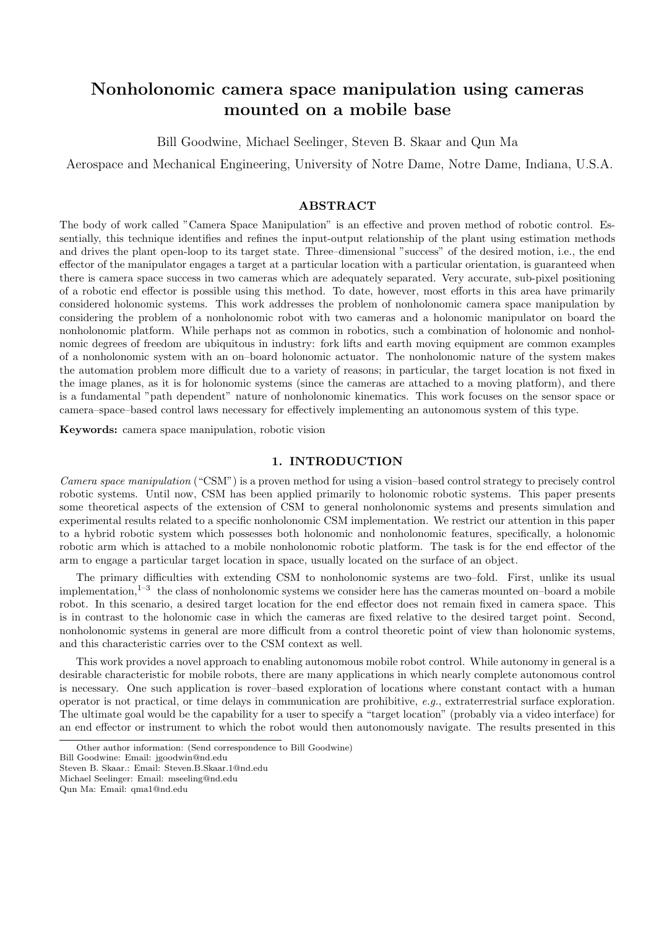# Nonholonomic camera space manipulation using cameras mounted on a mobile base

Bill Goodwine, Michael Seelinger, Steven B. Skaar and Qun Ma

Aerospace and Mechanical Engineering, University of Notre Dame, Notre Dame, Indiana, U.S.A.

## ABSTRACT

The body of work called "Camera Space Manipulation" is an effective and proven method of robotic control. Essentially, this technique identifies and refines the input-output relationship of the plant using estimation methods and drives the plant open-loop to its target state. Three–dimensional "success" of the desired motion, i.e., the end effector of the manipulator engages a target at a particular location with a particular orientation, is guaranteed when there is camera space success in two cameras which are adequately separated. Very accurate, sub-pixel positioning of a robotic end effector is possible using this method. To date, however, most efforts in this area have primarily considered holonomic systems. This work addresses the problem of nonholonomic camera space manipulation by considering the problem of a nonholonomic robot with two cameras and a holonomic manipulator on board the nonholonomic platform. While perhaps not as common in robotics, such a combination of holonomic and nonholnomic degrees of freedom are ubiquitous in industry: fork lifts and earth moving equipment are common examples of a nonholonomic system with an on–board holonomic actuator. The nonholonomic nature of the system makes the automation problem more difficult due to a variety of reasons; in particular, the target location is not fixed in the image planes, as it is for holonomic systems (since the cameras are attached to a moving platform), and there is a fundamental "path dependent" nature of nonholonomic kinematics. This work focuses on the sensor space or camera–space–based control laws necessary for effectively implementing an autonomous system of this type.

Keywords: camera space manipulation, robotic vision

# 1. INTRODUCTION

Camera space manipulation ("CSM") is a proven method for using a vision–based control strategy to precisely control robotic systems. Until now, CSM has been applied primarily to holonomic robotic systems. This paper presents some theoretical aspects of the extension of CSM to general nonholonomic systems and presents simulation and experimental results related to a specific nonholonomic CSM implementation. We restrict our attention in this paper to a hybrid robotic system which possesses both holonomic and nonholonomic features, specifically, a holonomic robotic arm which is attached to a mobile nonholonomic robotic platform. The task is for the end effector of the arm to engage a particular target location in space, usually located on the surface of an object.

The primary difficulties with extending CSM to nonholonomic systems are two–fold. First, unlike its usual implementation, $1-3$  the class of nonholonomic systems we consider here has the cameras mounted on–board a mobile robot. In this scenario, a desired target location for the end effector does not remain fixed in camera space. This is in contrast to the holonomic case in which the cameras are fixed relative to the desired target point. Second, nonholonomic systems in general are more difficult from a control theoretic point of view than holonomic systems, and this characteristic carries over to the CSM context as well.

This work provides a novel approach to enabling autonomous mobile robot control. While autonomy in general is a desirable characteristic for mobile robots, there are many applications in which nearly complete autonomous control is necessary. One such application is rover–based exploration of locations where constant contact with a human operator is not practical, or time delays in communication are prohibitive, e.g., extraterrestrial surface exploration. The ultimate goal would be the capability for a user to specify a "target location" (probably via a video interface) for an end effector or instrument to which the robot would then autonomously navigate. The results presented in this

Bill Goodwine: Email: jgoodwin@nd.edu

Other author information: (Send correspondence to Bill Goodwine)

Steven B. Skaar.: Email: Steven.B.Skaar.1@nd.edu

Michael Seelinger: Email: mseeling@nd.edu

Qun Ma: Email: qma1@nd.edu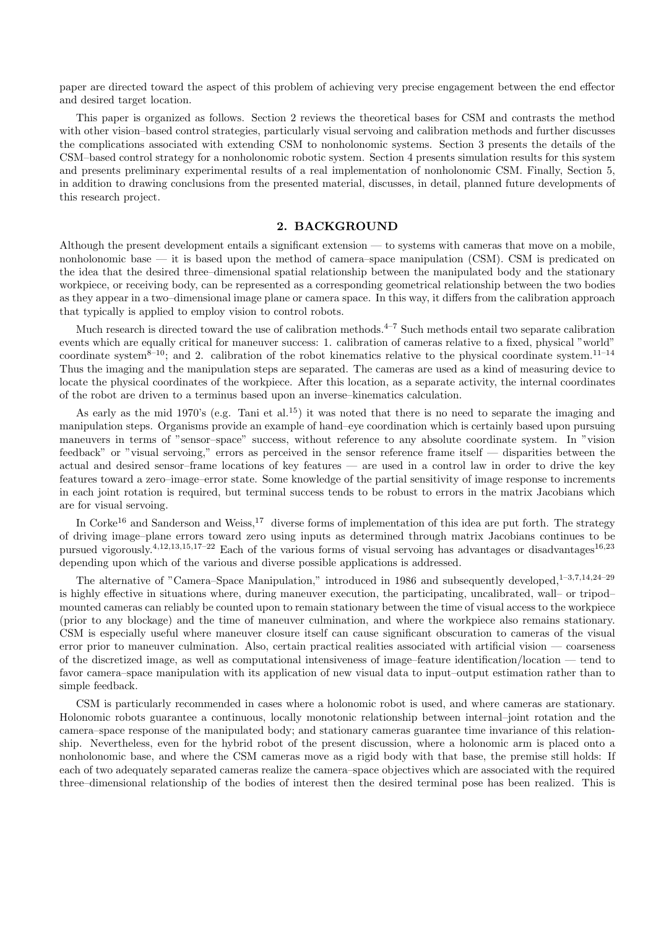paper are directed toward the aspect of this problem of achieving very precise engagement between the end effector and desired target location.

This paper is organized as follows. Section 2 reviews the theoretical bases for CSM and contrasts the method with other vision–based control strategies, particularly visual servoing and calibration methods and further discusses the complications associated with extending CSM to nonholonomic systems. Section 3 presents the details of the CSM–based control strategy for a nonholonomic robotic system. Section 4 presents simulation results for this system and presents preliminary experimental results of a real implementation of nonholonomic CSM. Finally, Section 5, in addition to drawing conclusions from the presented material, discusses, in detail, planned future developments of this research project.

# 2. BACKGROUND

Although the present development entails a significant extension — to systems with cameras that move on a mobile, nonholonomic base — it is based upon the method of camera–space manipulation (CSM). CSM is predicated on the idea that the desired three–dimensional spatial relationship between the manipulated body and the stationary workpiece, or receiving body, can be represented as a corresponding geometrical relationship between the two bodies as they appear in a two–dimensional image plane or camera space. In this way, it differs from the calibration approach that typically is applied to employ vision to control robots.

Much research is directed toward the use of calibration methods. $4-7$  Such methods entail two separate calibration events which are equally critical for maneuver success: 1. calibration of cameras relative to a fixed, physical "world" coordinate system $8-10$ ; and 2. calibration of the robot kinematics relative to the physical coordinate system.<sup>11–14</sup> Thus the imaging and the manipulation steps are separated. The cameras are used as a kind of measuring device to locate the physical coordinates of the workpiece. After this location, as a separate activity, the internal coordinates of the robot are driven to a terminus based upon an inverse–kinematics calculation.

As early as the mid 1970's (e.g. Tani et al.<sup>15</sup>) it was noted that there is no need to separate the imaging and manipulation steps. Organisms provide an example of hand–eye coordination which is certainly based upon pursuing maneuvers in terms of "sensor–space" success, without reference to any absolute coordinate system. In "vision feedback" or "visual servoing," errors as perceived in the sensor reference frame itself — disparities between the actual and desired sensor–frame locations of key features — are used in a control law in order to drive the key features toward a zero–image–error state. Some knowledge of the partial sensitivity of image response to increments in each joint rotation is required, but terminal success tends to be robust to errors in the matrix Jacobians which are for visual servoing.

In Corke<sup>16</sup> and Sanderson and Weiss,<sup>17</sup> diverse forms of implementation of this idea are put forth. The strategy of driving image–plane errors toward zero using inputs as determined through matrix Jacobians continues to be pursued vigorously.<sup>4,12,13,15,17–22</sup> Each of the various forms of visual servoing has advantages or disadvantages<sup>16,23</sup> depending upon which of the various and diverse possible applications is addressed.

The alternative of "Camera–Space Manipulation," introduced in 1986 and subsequently developed,<sup>1-3,7,14,24-29</sup> is highly effective in situations where, during maneuver execution, the participating, uncalibrated, wall– or tripod– mounted cameras can reliably be counted upon to remain stationary between the time of visual access to the workpiece (prior to any blockage) and the time of maneuver culmination, and where the workpiece also remains stationary. CSM is especially useful where maneuver closure itself can cause significant obscuration to cameras of the visual error prior to maneuver culmination. Also, certain practical realities associated with artificial vision — coarseness of the discretized image, as well as computational intensiveness of image–feature identification/location — tend to favor camera–space manipulation with its application of new visual data to input–output estimation rather than to simple feedback.

CSM is particularly recommended in cases where a holonomic robot is used, and where cameras are stationary. Holonomic robots guarantee a continuous, locally monotonic relationship between internal–joint rotation and the camera–space response of the manipulated body; and stationary cameras guarantee time invariance of this relationship. Nevertheless, even for the hybrid robot of the present discussion, where a holonomic arm is placed onto a nonholonomic base, and where the CSM cameras move as a rigid body with that base, the premise still holds: If each of two adequately separated cameras realize the camera–space objectives which are associated with the required three–dimensional relationship of the bodies of interest then the desired terminal pose has been realized. This is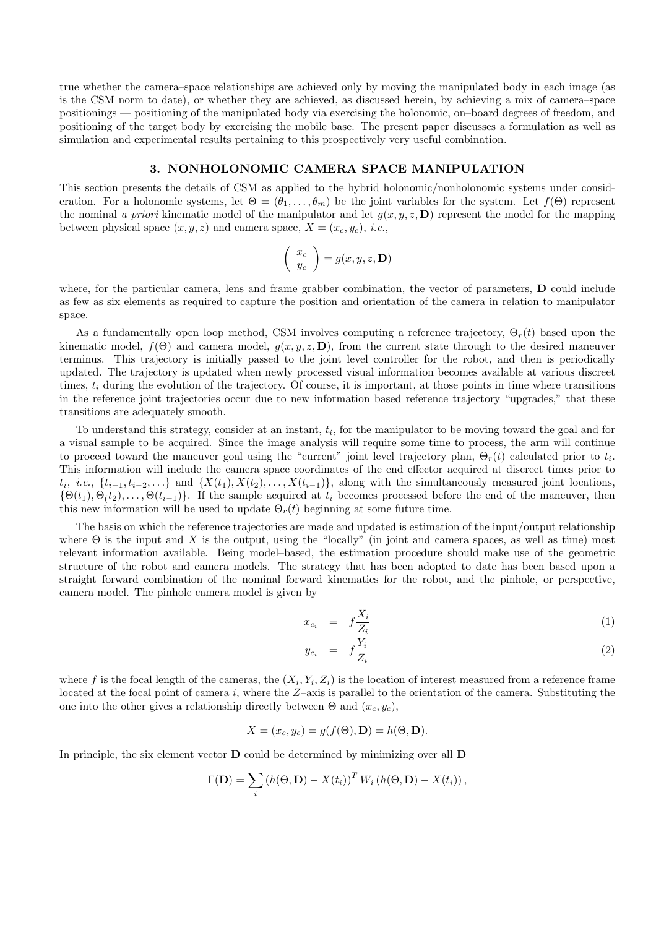true whether the camera–space relationships are achieved only by moving the manipulated body in each image (as is the CSM norm to date), or whether they are achieved, as discussed herein, by achieving a mix of camera–space positionings — positioning of the manipulated body via exercising the holonomic, on–board degrees of freedom, and positioning of the target body by exercising the mobile base. The present paper discusses a formulation as well as simulation and experimental results pertaining to this prospectively very useful combination.

#### 3. NONHOLONOMIC CAMERA SPACE MANIPULATION

This section presents the details of CSM as applied to the hybrid holonomic/nonholonomic systems under consideration. For a holonomic systems, let  $\Theta = (\theta_1, \ldots, \theta_m)$  be the joint variables for the system. Let  $f(\Theta)$  represent the nominal a priori kinematic model of the manipulator and let  $g(x, y, z, \mathbf{D})$  represent the model for the mapping between physical space  $(x, y, z)$  and camera space,  $X = (x_c, y_c)$ , *i.e.*,

$$
\left(\begin{array}{c} x_c \\ y_c \end{array}\right) = g(x, y, z, \mathbf{D})
$$

where, for the particular camera, lens and frame grabber combination, the vector of parameters, **D** could include as few as six elements as required to capture the position and orientation of the camera in relation to manipulator space.

As a fundamentally open loop method, CSM involves computing a reference trajectory,  $\Theta_r(t)$  based upon the kinematic model,  $f(\Theta)$  and camera model,  $g(x, y, z, \mathbf{D})$ , from the current state through to the desired maneuver terminus. This trajectory is initially passed to the joint level controller for the robot, and then is periodically updated. The trajectory is updated when newly processed visual information becomes available at various discreet times,  $t_i$  during the evolution of the trajectory. Of course, it is important, at those points in time where transitions in the reference joint trajectories occur due to new information based reference trajectory "upgrades," that these transitions are adequately smooth.

To understand this strategy, consider at an instant,  $t_i$ , for the manipulator to be moving toward the goal and for a visual sample to be acquired. Since the image analysis will require some time to process, the arm will continue to proceed toward the maneuver goal using the "current" joint level trajectory plan,  $\Theta_r(t)$  calculated prior to  $t_i$ . This information will include the camera space coordinates of the end effector acquired at discreet times prior to  $t_i$ , *i.e.*,  $\{t_{i-1}, t_{i-2}, \ldots\}$  and  $\{X(t_1), X(t_2), \ldots, X(t_{i-1})\}$ , along with the simultaneously measured joint locations,  $\{\Theta(t_1), \Theta(t_2), \ldots, \Theta(t_{i-1})\}$ . If the sample acquired at  $t_i$  becomes processed before the end of the maneuver, then this new information will be used to update  $\Theta_r(t)$  beginning at some future time.

The basis on which the reference trajectories are made and updated is estimation of the input/output relationship where  $\Theta$  is the input and X is the output, using the "locally" (in joint and camera spaces, as well as time) most relevant information available. Being model–based, the estimation procedure should make use of the geometric structure of the robot and camera models. The strategy that has been adopted to date has been based upon a straight–forward combination of the nominal forward kinematics for the robot, and the pinhole, or perspective, camera model. The pinhole camera model is given by

$$
x_{c_i} = f \frac{X_i}{Z_i} \tag{1}
$$

$$
y_{c_i} = f \frac{Y_i}{Z_i} \tag{2}
$$

where f is the focal length of the cameras, the  $(X_i, Y_i, Z_i)$  is the location of interest measured from a reference frame located at the focal point of camera i, where the  $Z$ –axis is parallel to the orientation of the camera. Substituting the one into the other gives a relationship directly between  $\Theta$  and  $(x_c, y_c)$ ,

$$
X = (x_c, y_c) = g(f(\Theta), \mathbf{D}) = h(\Theta, \mathbf{D}).
$$

In principle, the six element vector D could be determined by minimizing over all D

$$
\Gamma(\mathbf{D}) = \sum_{i} \left( h(\Theta, \mathbf{D}) - X(t_i) \right)^T W_i \left( h(\Theta, \mathbf{D}) - X(t_i) \right),
$$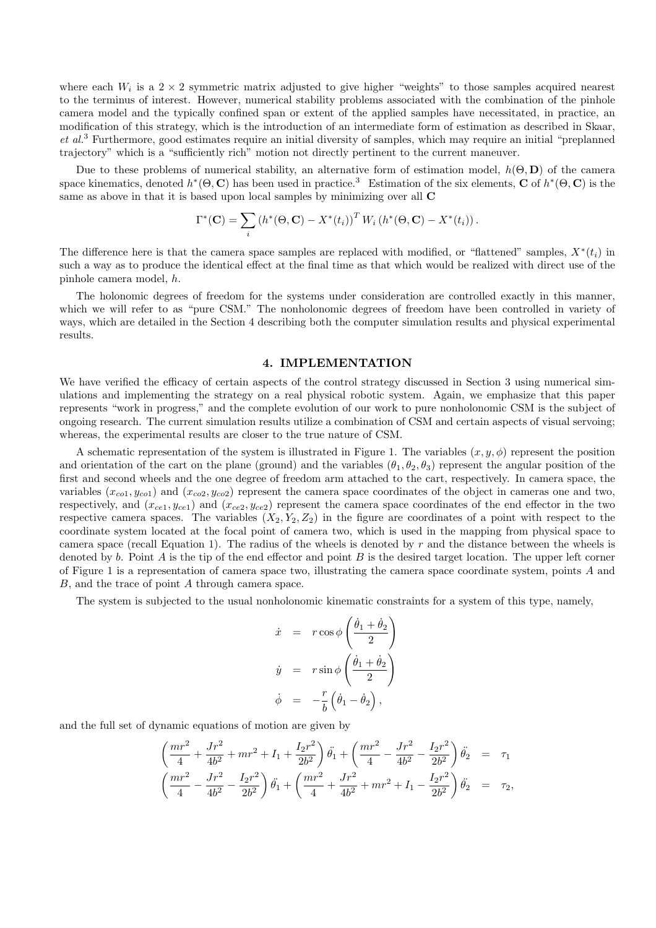where each  $W_i$  is a  $2 \times 2$  symmetric matrix adjusted to give higher "weights" to those samples acquired nearest to the terminus of interest. However, numerical stability problems associated with the combination of the pinhole camera model and the typically confined span or extent of the applied samples have necessitated, in practice, an modification of this strategy, which is the introduction of an intermediate form of estimation as described in Skaar, et al.<sup>3</sup> Furthermore, good estimates require an initial diversity of samples, which may require an initial "preplanned trajectory" which is a "sufficiently rich" motion not directly pertinent to the current maneuver.

Due to these problems of numerical stability, an alternative form of estimation model,  $h(\Theta, \mathbf{D})$  of the camera space kinematics, denoted  $h^*(\Theta, \mathbf{C})$  has been used in practice.<sup>3</sup> Estimation of the six elements,  $\mathbf{C}$  of  $h^*(\Theta, \mathbf{C})$  is the same as above in that it is based upon local samples by minimizing over all C

$$
\Gamma^*(\mathbf{C}) = \sum_i \left( h^*(\Theta, \mathbf{C}) - X^*(t_i) \right)^T W_i \left( h^*(\Theta, \mathbf{C}) - X^*(t_i) \right).
$$

The difference here is that the camera space samples are replaced with modified, or "flattened" samples,  $X^*(t_i)$  in such a way as to produce the identical effect at the final time as that which would be realized with direct use of the pinhole camera model, h.

The holonomic degrees of freedom for the systems under consideration are controlled exactly in this manner, which we will refer to as "pure CSM." The nonholonomic degrees of freedom have been controlled in variety of ways, which are detailed in the Section 4 describing both the computer simulation results and physical experimental results.

#### 4. IMPLEMENTATION

We have verified the efficacy of certain aspects of the control strategy discussed in Section 3 using numerical simulations and implementing the strategy on a real physical robotic system. Again, we emphasize that this paper represents "work in progress," and the complete evolution of our work to pure nonholonomic CSM is the subject of ongoing research. The current simulation results utilize a combination of CSM and certain aspects of visual servoing; whereas, the experimental results are closer to the true nature of CSM.

A schematic representation of the system is illustrated in Figure 1. The variables  $(x, y, \phi)$  represent the position and orientation of the cart on the plane (ground) and the variables  $(\theta_1, \theta_2, \theta_3)$  represent the angular position of the first and second wheels and the one degree of freedom arm attached to the cart, respectively. In camera space, the variables  $(x_{co1}, y_{co1})$  and  $(x_{co2}, y_{co2})$  represent the camera space coordinates of the object in cameras one and two, respectively, and  $(x_{ce1}, y_{ce1})$  and  $(x_{ce2}, y_{ce2})$  represent the camera space coordinates of the end effector in the two respective camera spaces. The variables  $(X_2, Y_2, Z_2)$  in the figure are coordinates of a point with respect to the coordinate system located at the focal point of camera two, which is used in the mapping from physical space to camera space (recall Equation 1). The radius of the wheels is denoted by r and the distance between the wheels is denoted by b. Point A is the tip of the end effector and point B is the desired target location. The upper left corner of Figure 1 is a representation of camera space two, illustrating the camera space coordinate system, points A and B, and the trace of point A through camera space.

The system is subjected to the usual nonholonomic kinematic constraints for a system of this type, namely,

$$
\begin{array}{rcl} \dot{x} & = & r \cos \phi \left( \dfrac{\dot{\theta}_1 + \dot{\theta}_2}{2} \right) \\[0.2cm] \dot{y} & = & r \sin \phi \left( \dfrac{\dot{\theta}_1 + \dot{\theta}_2}{2} \right) \\[0.2cm] \dot{\phi} & = & - \dfrac{r}{b} \left( \dot{\theta}_1 - \dot{\theta}_2 \right), \end{array}
$$

and the full set of dynamic equations of motion are given by

$$
\left(\frac{mr^2}{4} + \frac{Jr^2}{4b^2} + mr^2 + I_1 + \frac{I_2r^2}{2b^2}\right)\ddot{\theta}_1 + \left(\frac{mr^2}{4} - \frac{Jr^2}{4b^2} - \frac{I_2r^2}{2b^2}\right)\ddot{\theta}_2 = \tau_1
$$
  

$$
\left(\frac{mr^2}{4} - \frac{Jr^2}{4b^2} - \frac{I_2r^2}{2b^2}\right)\ddot{\theta}_1 + \left(\frac{mr^2}{4} + \frac{Jr^2}{4b^2} + mr^2 + I_1 - \frac{I_2r^2}{2b^2}\right)\ddot{\theta}_2 = \tau_2,
$$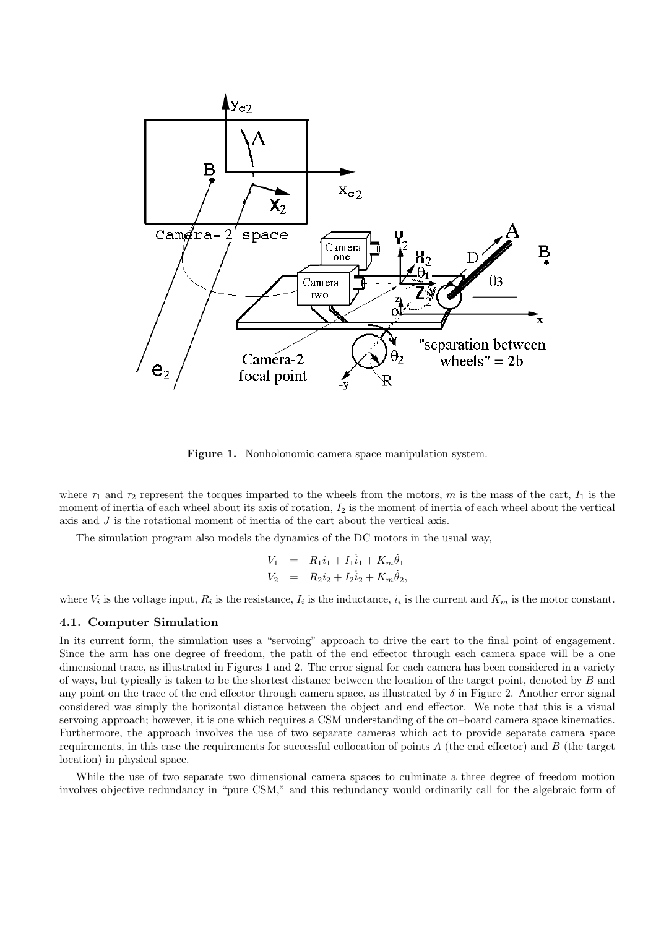

Figure 1. Nonholonomic camera space manipulation system.

where  $\tau_1$  and  $\tau_2$  represent the torques imparted to the wheels from the motors, m is the mass of the cart,  $I_1$  is the moment of inertia of each wheel about its axis of rotation,  $I_2$  is the moment of inertia of each wheel about the vertical axis and J is the rotational moment of inertia of the cart about the vertical axis.

The simulation program also models the dynamics of the DC motors in the usual way,

$$
V_1 = R_1 i_1 + I_1 i_1 + K_m \dot{\theta}_1
$$
  

$$
V_2 = R_2 i_2 + I_2 i_2 + K_m \dot{\theta}_2,
$$

where  $V_i$  is the voltage input,  $R_i$  is the resistance,  $I_i$  is the inductance,  $i_i$  is the current and  $K_m$  is the motor constant.

#### 4.1. Computer Simulation

In its current form, the simulation uses a "servoing" approach to drive the cart to the final point of engagement. Since the arm has one degree of freedom, the path of the end effector through each camera space will be a one dimensional trace, as illustrated in Figures 1 and 2. The error signal for each camera has been considered in a variety of ways, but typically is taken to be the shortest distance between the location of the target point, denoted by B and any point on the trace of the end effector through camera space, as illustrated by  $\delta$  in Figure 2. Another error signal considered was simply the horizontal distance between the object and end effector. We note that this is a visual servoing approach; however, it is one which requires a CSM understanding of the on–board camera space kinematics. Furthermore, the approach involves the use of two separate cameras which act to provide separate camera space requirements, in this case the requirements for successful collocation of points  $A$  (the end effector) and  $B$  (the target location) in physical space.

While the use of two separate two dimensional camera spaces to culminate a three degree of freedom motion involves objective redundancy in "pure CSM," and this redundancy would ordinarily call for the algebraic form of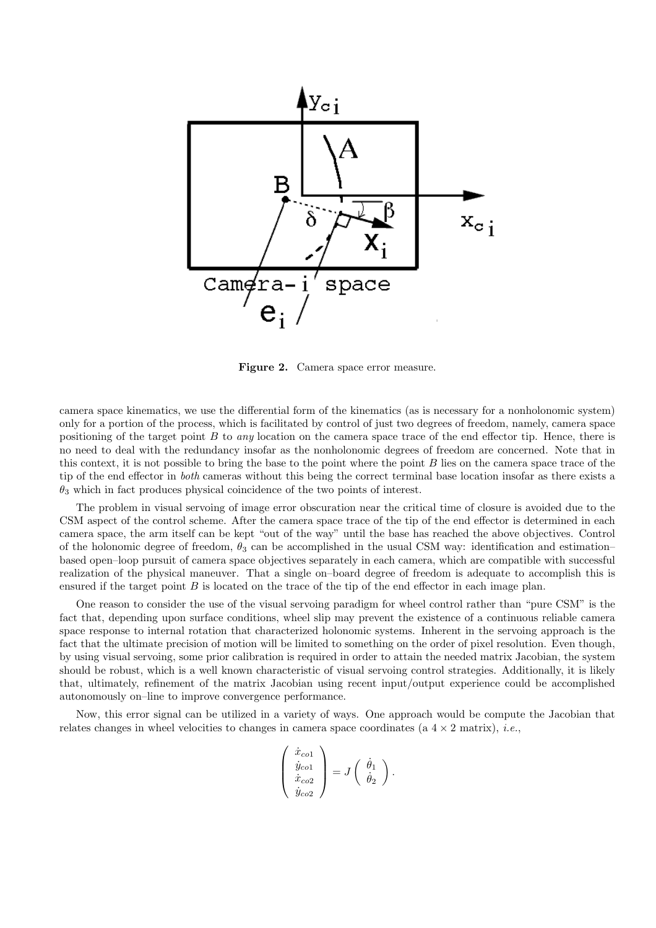

Figure 2. Camera space error measure.

camera space kinematics, we use the differential form of the kinematics (as is necessary for a nonholonomic system) only for a portion of the process, which is facilitated by control of just two degrees of freedom, namely, camera space positioning of the target point B to any location on the camera space trace of the end effector tip. Hence, there is no need to deal with the redundancy insofar as the nonholonomic degrees of freedom are concerned. Note that in this context, it is not possible to bring the base to the point where the point B lies on the camera space trace of the tip of the end effector in both cameras without this being the correct terminal base location insofar as there exists a  $\theta_3$  which in fact produces physical coincidence of the two points of interest.

The problem in visual servoing of image error obscuration near the critical time of closure is avoided due to the CSM aspect of the control scheme. After the camera space trace of the tip of the end effector is determined in each camera space, the arm itself can be kept "out of the way" until the base has reached the above objectives. Control of the holonomic degree of freedom,  $\theta_3$  can be accomplished in the usual CSM way: identification and estimation– based open–loop pursuit of camera space objectives separately in each camera, which are compatible with successful realization of the physical maneuver. That a single on–board degree of freedom is adequate to accomplish this is ensured if the target point  $B$  is located on the trace of the tip of the end effector in each image plan.

One reason to consider the use of the visual servoing paradigm for wheel control rather than "pure CSM" is the fact that, depending upon surface conditions, wheel slip may prevent the existence of a continuous reliable camera space response to internal rotation that characterized holonomic systems. Inherent in the servoing approach is the fact that the ultimate precision of motion will be limited to something on the order of pixel resolution. Even though, by using visual servoing, some prior calibration is required in order to attain the needed matrix Jacobian, the system should be robust, which is a well known characteristic of visual servoing control strategies. Additionally, it is likely that, ultimately, refinement of the matrix Jacobian using recent input/output experience could be accomplished autonomously on–line to improve convergence performance.

Now, this error signal can be utilized in a variety of ways. One approach would be compute the Jacobian that relates changes in wheel velocities to changes in camera space coordinates (a  $4 \times 2$  matrix), *i.e.*,

$$
\left(\begin{array}{c}\n\dot{x}_{co1} \\
\dot{y}_{co1} \\
\dot{x}_{co2} \\
\dot{y}_{co2}\n\end{array}\right) = J \left(\begin{array}{c}\n\dot{\theta}_1 \\
\dot{\theta}_2\n\end{array}\right).
$$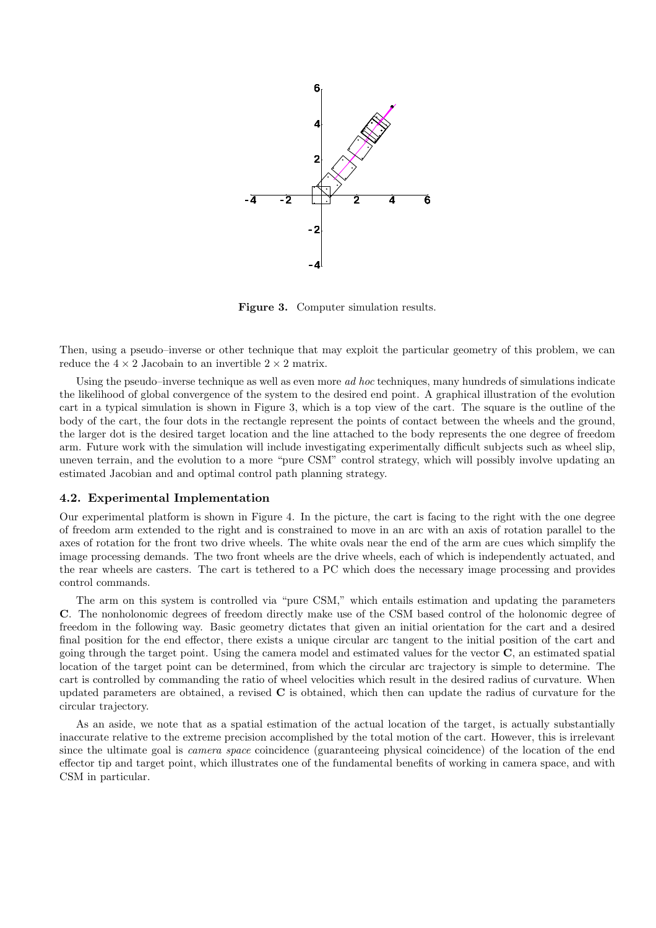

Figure 3. Computer simulation results.

Then, using a pseudo–inverse or other technique that may exploit the particular geometry of this problem, we can reduce the  $4\times 2$  Jacobain to an invertible  $2\times 2$  matrix.

Using the pseudo–inverse technique as well as even more  $ad hoc$  techniques, many hundreds of simulations indicate the likelihood of global convergence of the system to the desired end point. A graphical illustration of the evolution cart in a typical simulation is shown in Figure 3, which is a top view of the cart. The square is the outline of the body of the cart, the four dots in the rectangle represent the points of contact between the wheels and the ground, the larger dot is the desired target location and the line attached to the body represents the one degree of freedom arm. Future work with the simulation will include investigating experimentally difficult subjects such as wheel slip, uneven terrain, and the evolution to a more "pure CSM" control strategy, which will possibly involve updating an estimated Jacobian and and optimal control path planning strategy.

#### 4.2. Experimental Implementation

Our experimental platform is shown in Figure 4. In the picture, the cart is facing to the right with the one degree of freedom arm extended to the right and is constrained to move in an arc with an axis of rotation parallel to the axes of rotation for the front two drive wheels. The white ovals near the end of the arm are cues which simplify the image processing demands. The two front wheels are the drive wheels, each of which is independently actuated, and the rear wheels are casters. The cart is tethered to a PC which does the necessary image processing and provides control commands.

The arm on this system is controlled via "pure CSM," which entails estimation and updating the parameters C. The nonholonomic degrees of freedom directly make use of the CSM based control of the holonomic degree of freedom in the following way. Basic geometry dictates that given an initial orientation for the cart and a desired final position for the end effector, there exists a unique circular arc tangent to the initial position of the cart and going through the target point. Using the camera model and estimated values for the vector C, an estimated spatial location of the target point can be determined, from which the circular arc trajectory is simple to determine. The cart is controlled by commanding the ratio of wheel velocities which result in the desired radius of curvature. When updated parameters are obtained, a revised  $C$  is obtained, which then can update the radius of curvature for the circular trajectory.

As an aside, we note that as a spatial estimation of the actual location of the target, is actually substantially inaccurate relative to the extreme precision accomplished by the total motion of the cart. However, this is irrelevant since the ultimate goal is *camera space* coincidence (guaranteeing physical coincidence) of the location of the end effector tip and target point, which illustrates one of the fundamental benefits of working in camera space, and with CSM in particular.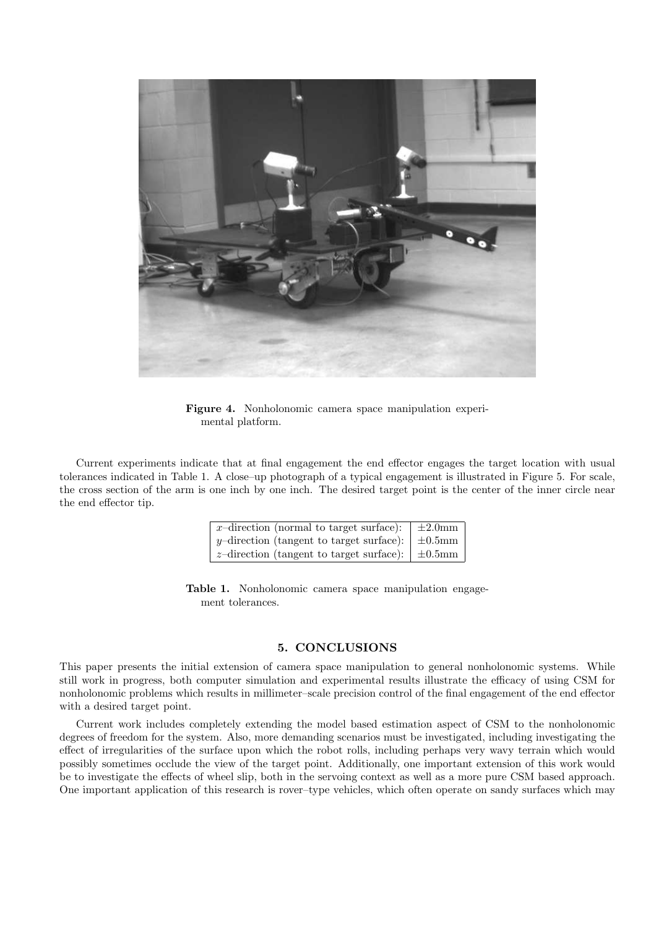

Figure 4. Nonholonomic camera space manipulation experimental platform.

Current experiments indicate that at final engagement the end effector engages the target location with usual tolerances indicated in Table 1. A close–up photograph of a typical engagement is illustrated in Figure 5. For scale, the cross section of the arm is one inch by one inch. The desired target point is the center of the inner circle near the end effector tip.

| x-direction (normal to target surface):               | $\pm 2.0$ mm |
|-------------------------------------------------------|--------------|
| y-direction (tangent to target surface): $\pm 0.5$ mm |              |
| z-direction (tangent to target surface): $\pm 0.5$ mm |              |

Table 1. Nonholonomic camera space manipulation engagement tolerances.

## 5. CONCLUSIONS

This paper presents the initial extension of camera space manipulation to general nonholonomic systems. While still work in progress, both computer simulation and experimental results illustrate the efficacy of using CSM for nonholonomic problems which results in millimeter–scale precision control of the final engagement of the end effector with a desired target point.

Current work includes completely extending the model based estimation aspect of CSM to the nonholonomic degrees of freedom for the system. Also, more demanding scenarios must be investigated, including investigating the effect of irregularities of the surface upon which the robot rolls, including perhaps very wavy terrain which would possibly sometimes occlude the view of the target point. Additionally, one important extension of this work would be to investigate the effects of wheel slip, both in the servoing context as well as a more pure CSM based approach. One important application of this research is rover–type vehicles, which often operate on sandy surfaces which may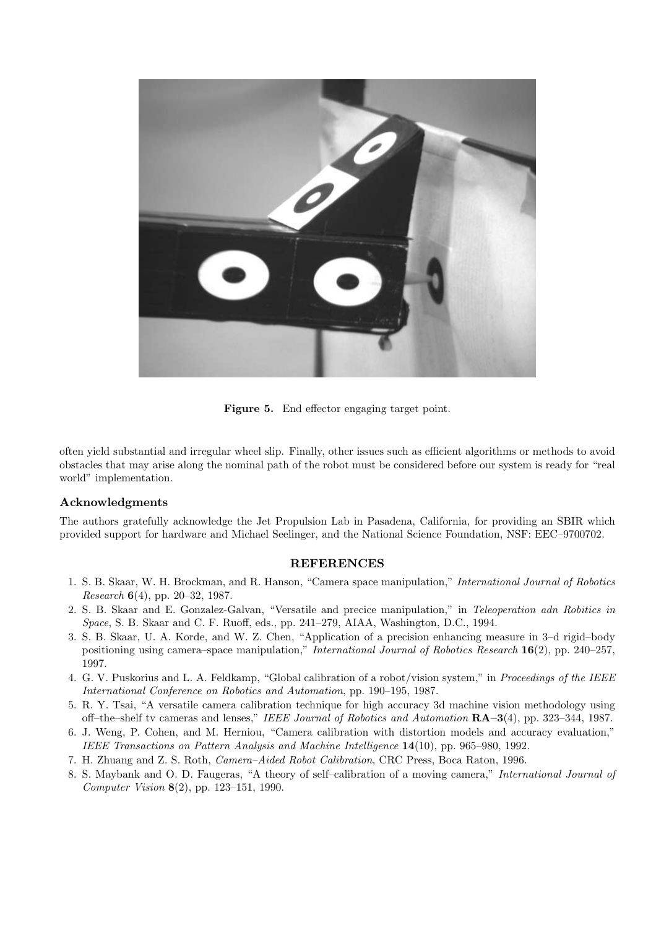

Figure 5. End effector engaging target point.

often yield substantial and irregular wheel slip. Finally, other issues such as efficient algorithms or methods to avoid obstacles that may arise along the nominal path of the robot must be considered before our system is ready for "real world" implementation.

## Acknowledgments

The authors gratefully acknowledge the Jet Propulsion Lab in Pasadena, California, for providing an SBIR which provided support for hardware and Michael Seelinger, and the National Science Foundation, NSF: EEC–9700702.

#### REFERENCES

- 1. S. B. Skaar, W. H. Brockman, and R. Hanson, "Camera space manipulation," International Journal of Robotics Research  $6(4)$ , pp. 20–32, 1987.
- 2. S. B. Skaar and E. Gonzalez-Galvan, "Versatile and precice manipulation," in Teleoperation adn Robitics in Space, S. B. Skaar and C. F. Ruoff, eds., pp. 241–279, AIAA, Washington, D.C., 1994.
- 3. S. B. Skaar, U. A. Korde, and W. Z. Chen, "Application of a precision enhancing measure in 3–d rigid–body positioning using camera–space manipulation," International Journal of Robotics Research 16(2), pp. 240–257, 1997.
- 4. G. V. Puskorius and L. A. Feldkamp, "Global calibration of a robot/vision system," in Proceedings of the IEEE International Conference on Robotics and Automation, pp. 190–195, 1987.
- 5. R. Y. Tsai, "A versatile camera calibration technique for high accuracy 3d machine vision methodology using off–the–shelf tv cameras and lenses," IEEE Journal of Robotics and Automation RA–3(4), pp. 323–344, 1987.
- 6. J. Weng, P. Cohen, and M. Herniou, "Camera calibration with distortion models and accuracy evaluation," IEEE Transactions on Pattern Analysis and Machine Intelligence 14(10), pp. 965–980, 1992.
- 7. H. Zhuang and Z. S. Roth, Camera–Aided Robot Calibration, CRC Press, Boca Raton, 1996.
- 8. S. Maybank and O. D. Faugeras, "A theory of self–calibration of a moving camera," International Journal of Computer Vision 8(2), pp. 123–151, 1990.